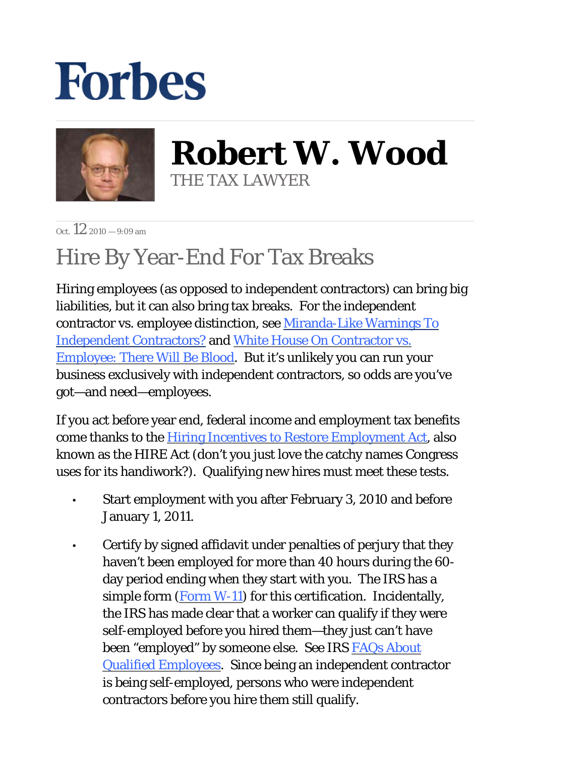## **Forbes**



**Robert W. Wood** THE TAX LAWYER

 $\cot 12^{9010} - 9.09$  am

## Hire By Year-End For Tax Breaks

Hiring employees (as opposed to independent contractors) can bring big liabilities, but it can also bring tax breaks. For the independent contractor vs. employee distinction, see Miranda-Like Warnings To Independent Contractors? and White House On Contractor vs. Employee: There Will Be Blood. But it's unlikely you can run your business exclusively with independent contractors, so odds are you've got—and need—employees.

If you act before year end, federal income and employment tax benefits come thanks to the Hiring Incentives to Restore Employment Act, also known as the HIRE Act (don't you just love the catchy names Congress uses for its handiwork?). Qualifying new hires must meet these tests.

- Start employment with you after February 3, 2010 and before January 1, 2011. •
- Certify by signed affidavit under penalties of perjury that they haven't been employed for more than 40 hours during the 60 day period ending when they start with you. The IRS has a simple form  $(Form W-11)$  for this certification. Incidentally, the IRS has made clear that a worker can qualify if they were self-employed before you hired them—they just can't have been "employed" by someone else. See IRS FAQs About Qualified Employees. Since being an independent contractor is being self-employed, persons who were independent contractors before you hire them still qualify. •